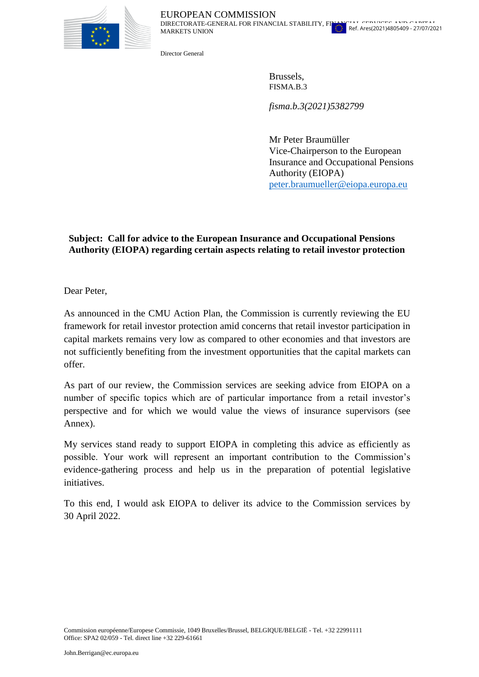

Director General

MARKETS UNION

Brussels, FISMA.B.3

*fisma.b.3(2021)5382799*

Mr Peter Braumüller Vice-Chairperson to the European Insurance and Occupational Pensions Authority (EIOPA) [peter.braumueller@eiopa.europa.eu](mailto:peter.braumueller@eiopa.europa.eu)

## **Subject: Call for advice to the European Insurance and Occupational Pensions Authority (EIOPA) regarding certain aspects relating to retail investor protection**

Dear Peter,

As announced in the CMU Action Plan, the Commission is currently reviewing the EU framework for retail investor protection amid concerns that retail investor participation in capital markets remains very low as compared to other economies and that investors are not sufficiently benefiting from the investment opportunities that the capital markets can offer.

As part of our review, the Commission services are seeking advice from EIOPA on a number of specific topics which are of particular importance from a retail investor's perspective and for which we would value the views of insurance supervisors (see Annex).

My services stand ready to support EIOPA in completing this advice as efficiently as possible. Your work will represent an important contribution to the Commission's evidence-gathering process and help us in the preparation of potential legislative initiatives.

To this end, I would ask EIOPA to deliver its advice to the Commission services by 30 April 2022.